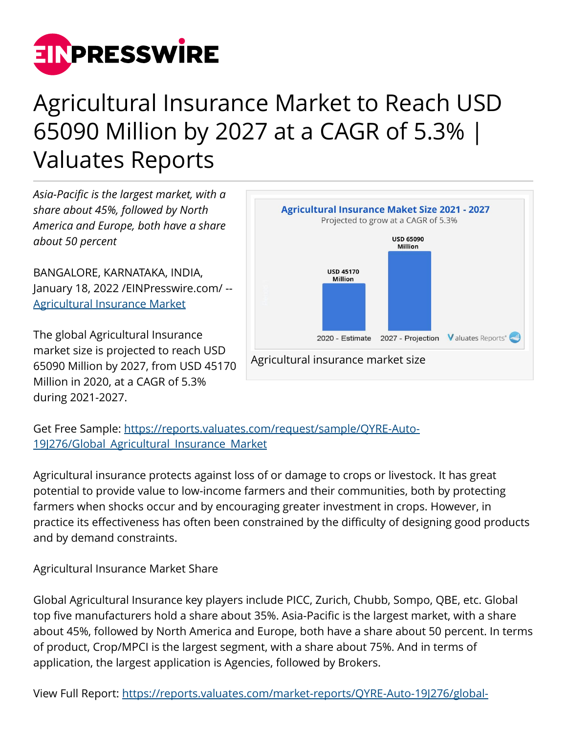

## Agricultural Insurance Market to Reach USD 65090 Million by 2027 at a CAGR of 5.3% | Valuates Reports

*Asia-Pacific is the largest market, with a share about 45%, followed by North America and Europe, both have a share about 50 percent*

BANGALORE, KARNATAKA, INDIA, January 18, 2022 /[EINPresswire.com](http://www.einpresswire.com)/ -- [Agricultural Insurance Market](https://reports.valuates.com/market-reports/QYRE-Auto-19J276/global-agricultural-insurance)

The global Agricultural Insurance market size is projected to reach USD 65090 Million by 2027, from USD 45170 Million in 2020, at a CAGR of 5.3% during 2021-2027.



Get Free Sample: [https://reports.valuates.com/request/sample/QYRE-Auto-](https://reports.valuates.com/request/sample/QYRE-Auto-19J276/Global_Agricultural_Insurance_Market)19|276/Global Agricultural Insurance Market

Agricultural insurance protects against loss of or damage to crops or livestock. It has great potential to provide value to low-income farmers and their communities, both by protecting farmers when shocks occur and by encouraging greater investment in crops. However, in practice its effectiveness has often been constrained by the difficulty of designing good products and by demand constraints.

Agricultural Insurance Market Share

Global Agricultural Insurance key players include PICC, Zurich, Chubb, Sompo, QBE, etc. Global top five manufacturers hold a share about 35%. Asia-Pacific is the largest market, with a share about 45%, followed by North America and Europe, both have a share about 50 percent. In terms of product, Crop/MPCI is the largest segment, with a share about 75%. And in terms of application, the largest application is Agencies, followed by Brokers.

View Full Report: [https://reports.valuates.com/market-reports/QYRE-Auto-19J276/global-](https://reports.valuates.com/market-reports/QYRE-Auto-19J276/global-agricultural-insurance)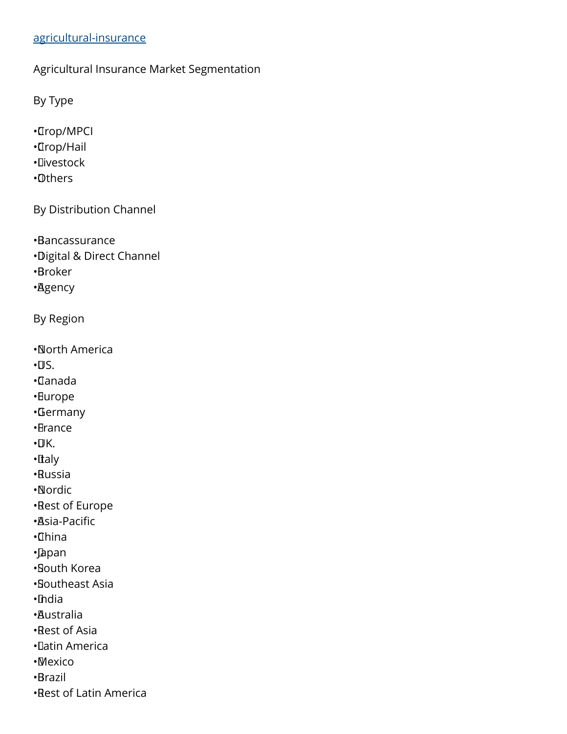## [agricultural-insurance](https://reports.valuates.com/market-reports/QYRE-Auto-19J276/global-agricultural-insurance)

Agricultural Insurance Market Segmentation

By Type

• Crop/MPCI

- • Crop/Hail
- • Livestock
- • Others

By Distribution Channel

• Bancassurance

• Digital & Direct Channel

• Broker

• Agency

By Region

• North America

 $\cdot \Pi S$ .

• Canada

• Europe

• Germany

- • France
- $\cdot$ UK.
- • Italy
- • Russia

• Nordic

• Rest of Europe

- • Asia-Pacific
- • China
- • Japan
- • South Korea
- • Southeast Asia
- • India
- • Australia
- • Rest of Asia
- • Latin America
- • Mexico
- • Brazil
- • Rest of Latin America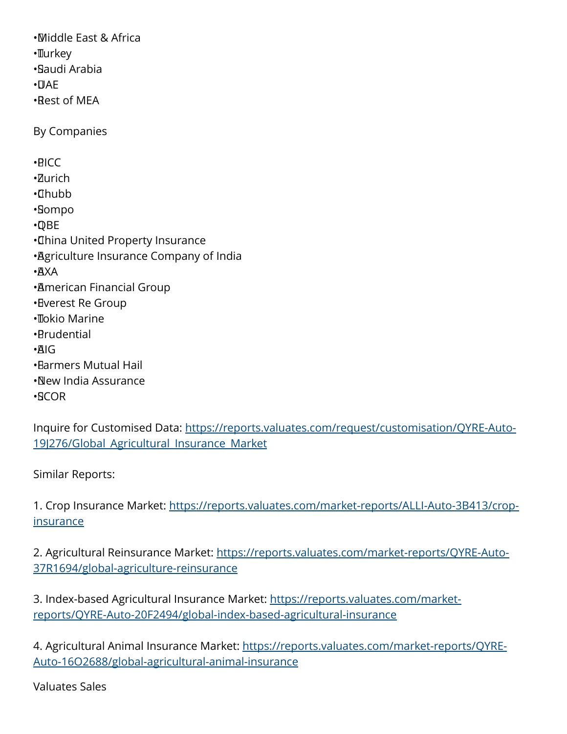• Middle East & Africa •**Turkey** • Saudi Arabia  $\cdot$  $\Box$ AF • Rest of MEA By Companies • PICC • Zurich • Chubb • Sompo • QBE • China United Property Insurance • Agriculture Insurance Company of India • AXA • American Financial Group • Everest Re Group • Tokio Marine • Prudential • AIG • Farmers Mutual Hail • New India Assurance • SCOR

Inquire for Customised Data: [https://reports.valuates.com/request/customisation/QYRE-Auto-](https://reports.valuates.com/request/customisation/QYRE-Auto-19J276/Global_Agricultural_Insurance_Market)19|276/Global Agricultural Insurance Market

Similar Reports:

1. Crop Insurance Market: [https://reports.valuates.com/market-reports/ALLI-Auto-3B413/crop](https://reports.valuates.com/market-reports/ALLI-Auto-3B413/crop-insurance)[insurance](https://reports.valuates.com/market-reports/ALLI-Auto-3B413/crop-insurance)

2. Agricultural Reinsurance Market: [https://reports.valuates.com/market-reports/QYRE-Auto-](https://reports.valuates.com/market-reports/QYRE-Auto-37R1694/global-agriculture-reinsurance)[37R1694/global-agriculture-reinsurance](https://reports.valuates.com/market-reports/QYRE-Auto-37R1694/global-agriculture-reinsurance)

3. Index-based Agricultural Insurance Market: [https://reports.valuates.com/market](https://reports.valuates.com/market-reports/QYRE-Auto-20F2494/global-index-based-agricultural-insurance)[reports/QYRE-Auto-20F2494/global-index-based-agricultural-insurance](https://reports.valuates.com/market-reports/QYRE-Auto-20F2494/global-index-based-agricultural-insurance)

4. Agricultural Animal Insurance Market: [https://reports.valuates.com/market-reports/QYRE-](https://reports.valuates.com/market-reports/QYRE-Auto-16O2688/global-agricultural-animal-insurance)[Auto-16O2688/global-agricultural-animal-insurance](https://reports.valuates.com/market-reports/QYRE-Auto-16O2688/global-agricultural-animal-insurance)

Valuates Sales